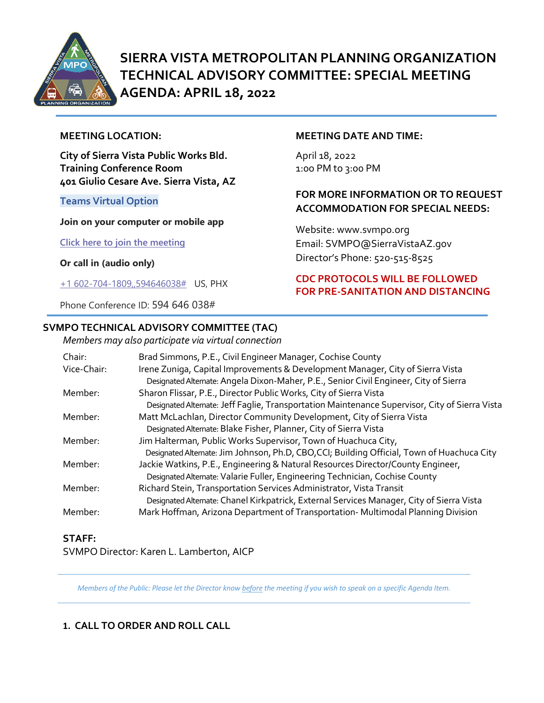

# **SIERRA VISTA METROPOLITAN PLANNING ORGANIZATION TECHNICAL ADVISORY COMMITTEE: SPECIAL MEETING AGENDA: APRIL 18, 2022**

#### **MEETING LOCATION:**

**City of Sierra Vista Public Works Bld. Training Conference Room 401 Giulio Cesare Ave. Sierra Vista, AZ**

#### **Teams Virtual Option**

#### **Join on your computer or mobile app**

**[Click here to join the meeting](https://teams.microsoft.com/l/meetup-join/19%3ameeting_NDQzZjc3ZWQtYjRjNS00OTZkLWJkOGQtZjM4OTdkYzIwN2Fm%40thread.v2/0?context=%7b%22Tid%22%3a%2236676c86-4a76-422a-8d4e-223152386488%22%2c%22Oid%22%3a%22956098f9-794b-4934-9a34-9a99f53bf1f3%22%7d)**

**Or call in (audio only)**

[+1 602-704-1809,,594646038#](tel:+16027041809,,594646038#%20) US, PHX

Phone Conference ID: 594 646 038#

## **SVMPO TECHNICAL ADVISORY COMMITTEE (TAC)**

*Members may also participate via virtual connection* 

#### **MEETING DATE AND TIME:**

April 18, 2022 1:0o PM to 3:00 PM

## **FOR MORE INFORMATION OR TO REQUEST ACCOMMODATION FOR SPECIAL NEEDS:**

Website: www.svmpo.org Email: SVMPO@SierraVistaAZ.gov Director's Phone: 520-515-8525

## **CDC PROTOCOLS WILL BE FOLLOWED FOR PRE-SANITATION AND DISTANCING**

| members may also participate the encour connection |                                                                                                |
|----------------------------------------------------|------------------------------------------------------------------------------------------------|
| Chair:                                             | Brad Simmons, P.E., Civil Engineer Manager, Cochise County                                     |
| Vice-Chair:                                        | Irene Zuniga, Capital Improvements & Development Manager, City of Sierra Vista                 |
|                                                    | Designated Alternate: Angela Dixon-Maher, P.E., Senior Civil Engineer, City of Sierra          |
| Member:                                            | Sharon Flissar, P.E., Director Public Works, City of Sierra Vista                              |
|                                                    | Designated Alternate: Jeff Faglie, Transportation Maintenance Supervisor, City of Sierra Vista |
| Member:                                            | Matt McLachlan, Director Community Development, City of Sierra Vista                           |
|                                                    | Designated Alternate: Blake Fisher, Planner, City of Sierra Vista                              |
| Member:                                            | Jim Halterman, Public Works Supervisor, Town of Huachuca City,                                 |
|                                                    | Designated Alternate: Jim Johnson, Ph.D, CBO,CCI; Building Official, Town of Huachuca City     |
| Member:                                            | Jackie Watkins, P.E., Engineering & Natural Resources Director/County Engineer,                |
|                                                    | Designated Alternate: Valarie Fuller, Engineering Technician, Cochise County                   |
| Member:                                            | Richard Stein, Transportation Services Administrator, Vista Transit                            |
|                                                    | Designated Alternate: Chanel Kirkpatrick, External Services Manager, City of Sierra Vista      |
| Member:                                            | Mark Hoffman, Arizona Department of Transportation-Multimodal Planning Division                |
|                                                    |                                                                                                |

### **STAFF:**

SVMPO Director: Karen L. Lamberton, AICP

*Members of the Public: Please let the Director know before the meeting if you wish to speak on a specific Agenda Item.* 

## **1. CALL TO ORDER AND ROLL CALL**